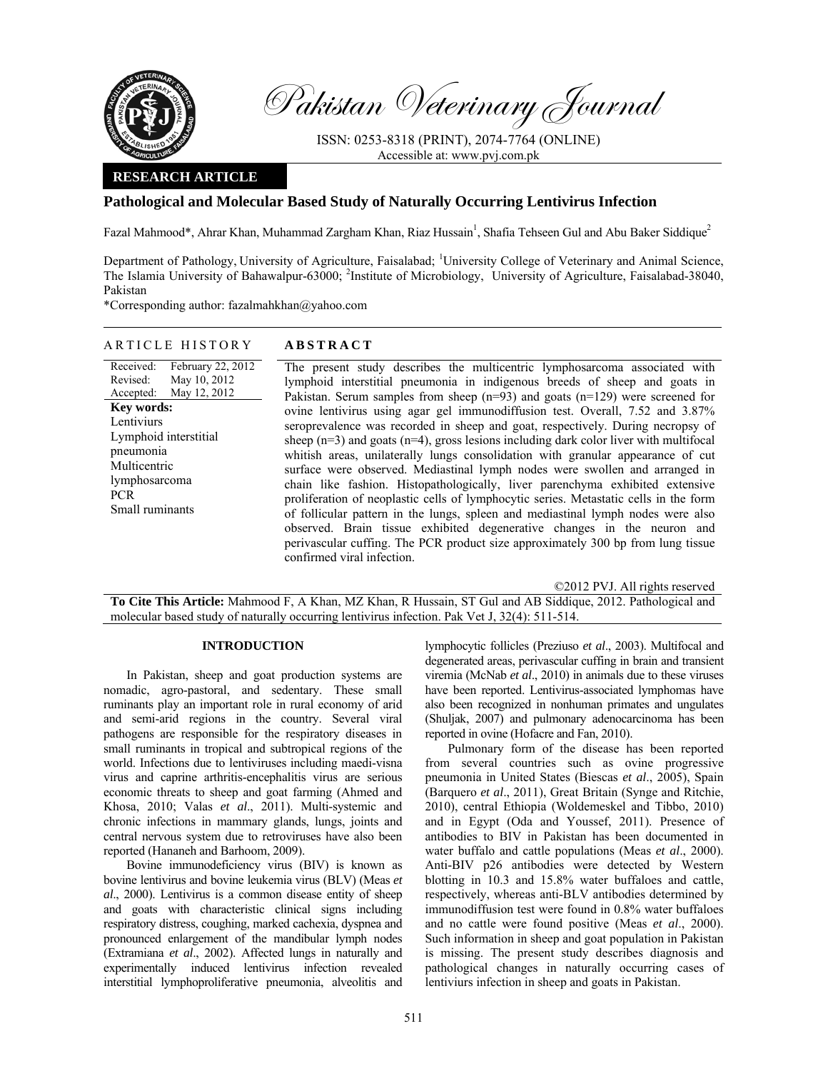

Pakistan Veterinary Journal

ISSN: 0253-8318 (PRINT), 2074-7764 (ONLINE) Accessible at: www.pvj.com.pk

### **RESEARCH ARTICLE**

# **Pathological and Molecular Based Study of Naturally Occurring Lentivirus Infection**

Fazal Mahmood\*, Ahrar Khan, Muhammad Zargham Khan, Riaz Hussain<sup>1</sup>, Shafia Tehseen Gul and Abu Baker Siddique<sup>2</sup>

Department of Pathology, University of Agriculture, Faisalabad; <sup>1</sup>University College of Veterinary and Animal Science, The Islamia University of Bahawalpur-63000; <sup>2</sup>Institute of Microbiology, University of Agriculture, Faisalabad-38040, Pakistan

\*Corresponding author: fazalmahkhan@yahoo.com

## ARTICLE HISTORY **ABSTRACT**

Received: Revised: Accepted: February 22, 2012 May 10, 2012 May 12, 2012 **Key words:**  Lentiviurs Lymphoid interstitial pneumonia Multicentric lymphosarcoma PCR Small ruminants

The present study describes the multicentric lymphosarcoma associated with lymphoid interstitial pneumonia in indigenous breeds of sheep and goats in Pakistan. Serum samples from sheep  $(n=93)$  and goats  $(n=129)$  were screened for ovine lentivirus using agar gel immunodiffusion test. Overall, 7.52 and 3.87% seroprevalence was recorded in sheep and goat, respectively. During necropsy of sheep  $(n=3)$  and goats  $(n=4)$ , gross lesions including dark color liver with multifocal whitish areas, unilaterally lungs consolidation with granular appearance of cut surface were observed. Mediastinal lymph nodes were swollen and arranged in chain like fashion. Histopathologically, liver parenchyma exhibited extensive proliferation of neoplastic cells of lymphocytic series. Metastatic cells in the form of follicular pattern in the lungs, spleen and mediastinal lymph nodes were also observed. Brain tissue exhibited degenerative changes in the neuron and perivascular cuffing. The PCR product size approximately 300 bp from lung tissue confirmed viral infection.

©2012 PVJ. All rights reserved

**To Cite This Article:** Mahmood F, A Khan, MZ Khan, R Hussain, ST Gul and AB Siddique, 2012. Pathological and molecular based study of naturally occurring lentivirus infection. Pak Vet J, 32(4): 511-514.

## **INTRODUCTION**

In Pakistan, sheep and goat production systems are nomadic, agro-pastoral, and sedentary. These small ruminants play an important role in rural economy of arid and semi-arid regions in the country. Several viral pathogens are responsible for the respiratory diseases in small ruminants in tropical and subtropical regions of the world. Infections due to lentiviruses including maedi-visna virus and caprine arthritis-encephalitis virus are serious economic threats to sheep and goat farming (Ahmed and Khosa, 2010; Valas *et al*., 2011). Multi-systemic and chronic infections in mammary glands, lungs, joints and central nervous system due to retroviruses have also been reported (Hananeh and Barhoom, 2009).

Bovine immunodeficiency virus (BIV) is known as bovine lentivirus and bovine leukemia virus (BLV) (Meas *et al*., 2000). Lentivirus is a common disease entity of sheep and goats with characteristic clinical signs including respiratory distress, coughing, marked cachexia, dyspnea and pronounced enlargement of the mandibular lymph nodes (Extramiana *et al*., 2002). Affected lungs in naturally and experimentally induced lentivirus infection revealed interstitial lymphoproliferative pneumonia, alveolitis and lymphocytic follicles (Preziuso *et al*., 2003). Multifocal and degenerated areas, perivascular cuffing in brain and transient viremia (McNab *et al*., 2010) in animals due to these viruses have been reported. Lentivirus-associated lymphomas have also been recognized in nonhuman primates and ungulates (Shuljak, 2007) and pulmonary adenocarcinoma has been reported in ovine (Hofacre and Fan, 2010).

Pulmonary form of the disease has been reported from several countries such as ovine progressive pneumonia in United States (Biescas *et al*., 2005), Spain (Barquero *et al*., 2011), Great Britain (Synge and Ritchie, 2010), central Ethiopia (Woldemeskel and Tibbo, 2010) and in Egypt (Oda and Youssef, 2011). Presence of antibodies to BIV in Pakistan has been documented in water buffalo and cattle populations (Meas *et al*., 2000). Anti-BIV p26 antibodies were detected by Western blotting in 10.3 and 15.8% water buffaloes and cattle, respectively, whereas anti-BLV antibodies determined by immunodiffusion test were found in 0.8% water buffaloes and no cattle were found positive (Meas *et al*., 2000). Such information in sheep and goat population in Pakistan is missing. The present study describes diagnosis and pathological changes in naturally occurring cases of lentiviurs infection in sheep and goats in Pakistan.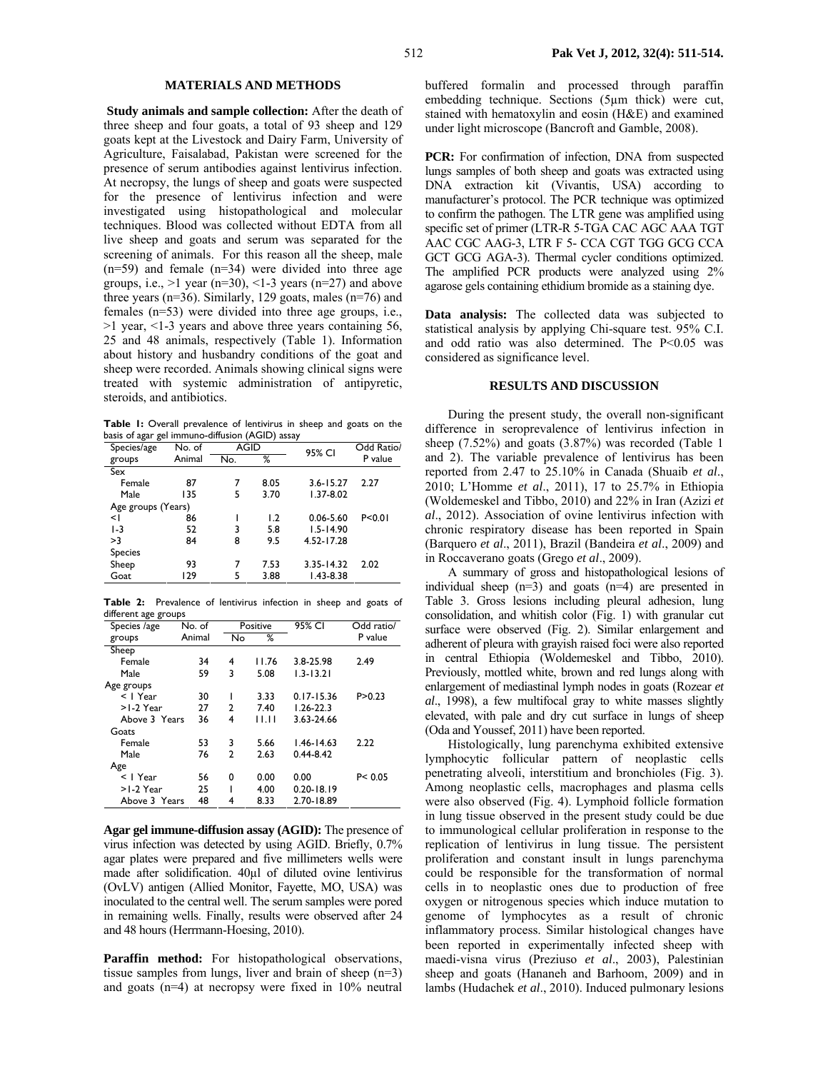#### **MATERIALS AND METHODS**

 **Study animals and sample collection:** After the death of three sheep and four goats, a total of 93 sheep and 129 goats kept at the Livestock and Dairy Farm, University of Agriculture, Faisalabad, Pakistan were screened for the presence of serum antibodies against lentivirus infection. At necropsy, the lungs of sheep and goats were suspected for the presence of lentivirus infection and were investigated using histopathological and molecular techniques. Blood was collected without EDTA from all live sheep and goats and serum was separated for the screening of animals. For this reason all the sheep, male  $(n=59)$  and female  $(n=34)$  were divided into three age groups, i.e.,  $>1$  year (n=30), <1-3 years (n=27) and above three years (n=36). Similarly, 129 goats, males (n=76) and females (n=53) were divided into three age groups, i.e., >1 year, <1-3 years and above three years containing 56, 25 and 48 animals, respectively (Table 1). Information about history and husbandry conditions of the goat and sheep were recorded. Animals showing clinical signs were treated with systemic administration of antipyretic, steroids, and antibiotics.

Table 1: Overall prevalence of lentivirus in sheep and goats on the basis of agar gel immuno-diffusion (AGID) assay

| Species/age        | No. of | AGID |      | 95% CI         | Odd Ratio/ |
|--------------------|--------|------|------|----------------|------------|
| groups             | Animal | No.  | %    |                | P value    |
| Sex                |        |      |      |                |            |
| Female             | 87     |      | 8.05 | $3.6 - 15.27$  | 2.27       |
| Male               | 135    | 5    | 3.70 | $1.37 - 8.02$  |            |
| Age groups (Years) |        |      |      |                |            |
| $\leq$             | 86     |      | 1.2  | $0.06 - 5.60$  | P < 0.01   |
| $1-3$              | 52     | 3    | 5.8  | $1.5 - 14.90$  |            |
| >3                 | 84     | 8    | 9.5  | 4.52-17.28     |            |
| <b>Species</b>     |        |      |      |                |            |
| Sheep              | 93     | 7    | 7.53 | $3.35 - 14.32$ | 2.02       |
| Goat               | 129    | 5    | 3.88 | $1.43 - 8.38$  |            |

**Table 2:** Prevalence of lentivirus infection in sheep and goats of different age groups

| Species /age  | No. of |    | Positive | 95% CI         | Odd ratio/ |
|---------------|--------|----|----------|----------------|------------|
| groups        | Animal | No | ℅        |                | P value    |
| Sheep         |        |    |          |                |            |
| Female        | 34     | 4  | 11.76    | 3.8-25.98      | 2.49       |
| Male          | 59     | 3  | 5.08     | $1.3 - 13.21$  |            |
| Age groups    |        |    |          |                |            |
| $<$   Year    | 30     |    | 3.33     | $0.17 - 15.36$ | P > 0.23   |
| $>1-2$ Year   | 27     | 2  | 7.40     | $1.26 - 22.3$  |            |
| Above 3 Years | 36     | 4  | 11.IT    | 3.63-24.66     |            |
| Goats         |        |    |          |                |            |
| Female        | 53     | 3  | 5.66     | $1.46 - 14.63$ | 2.22       |
| Male          | 76     | 2  | 2.63     | $0.44 - 8.42$  |            |
| Age           |        |    |          |                |            |
| $<$   Year    | 56     | 0  | 0.00     | 0.00           | P < 0.05   |
| $>1-2$ Year   | 25     |    | 4.00     | $0.20 - 18.19$ |            |
| Above 3 Years | 48     | 4  | 8.33     | 2.70-18.89     |            |
|               |        |    |          |                |            |

**Agar gel immune-diffusion assay (AGID):** The presence of virus infection was detected by using AGID. Briefly, 0.7% agar plates were prepared and five millimeters wells were made after solidification. 40µl of diluted ovine lentivirus (OvLV) antigen (Allied Monitor, Fayette, MO, USA) was inoculated to the central well. The serum samples were pored in remaining wells. Finally, results were observed after 24 and 48 hours (Herrmann-Hoesing, 2010).

Paraffin method: For histopathological observations, tissue samples from lungs, liver and brain of sheep (n=3) and goats (n=4) at necropsy were fixed in 10% neutral buffered formalin and processed through paraffin embedding technique. Sections (5µm thick) were cut, stained with hematoxylin and eosin (H&E) and examined under light microscope (Bancroft and Gamble, 2008).

PCR: For confirmation of infection, DNA from suspected lungs samples of both sheep and goats was extracted using DNA extraction kit (Vivantis, USA) according to manufacturer's protocol. The PCR technique was optimized to confirm the pathogen. The LTR gene was amplified using specific set of primer (LTR-R 5-TGA CAC AGC AAA TGT AAC CGC AAG-3, LTR F 5- CCA CGT TGG GCG CCA GCT GCG AGA-3). Thermal cycler conditions optimized. The amplified PCR products were analyzed using 2% agarose gels containing ethidium bromide as a staining dye.

**Data analysis:** The collected data was subjected to statistical analysis by applying Chi-square test. 95% C.I. and odd ratio was also determined. The P<0.05 was considered as significance level.

#### **RESULTS AND DISCUSSION**

During the present study, the overall non-significant difference in seroprevalence of lentivirus infection in sheep (7.52%) and goats (3.87%) was recorded (Table 1 and 2). The variable prevalence of lentivirus has been reported from 2.47 to 25.10% in Canada (Shuaib *et al*., 2010; L'Homme *et al*., 2011), 17 to 25.7% in Ethiopia (Woldemeskel and Tibbo, 2010) and 22% in Iran (Azizi *et al*., 2012). Association of ovine lentivirus infection with chronic respiratory disease has been reported in Spain (Barquero *et al*., 2011), Brazil (Bandeira *et al*., 2009) and in Roccaverano goats (Grego *et al*., 2009).

A summary of gross and histopathological lesions of individual sheep  $(n=3)$  and goats  $(n=4)$  are presented in Table 3. Gross lesions including pleural adhesion, lung consolidation, and whitish color (Fig. 1) with granular cut surface were observed (Fig. 2). Similar enlargement and adherent of pleura with grayish raised foci were also reported in central Ethiopia (Woldemeskel and Tibbo, 2010). Previously, mottled white, brown and red lungs along with enlargement of mediastinal lymph nodes in goats (Rozear *et al*., 1998), a few multifocal gray to white masses slightly elevated, with pale and dry cut surface in lungs of sheep (Oda and Youssef, 2011) have been reported.

Histologically, lung parenchyma exhibited extensive lymphocytic follicular pattern of neoplastic cells penetrating alveoli, interstitium and bronchioles (Fig. 3). Among neoplastic cells, macrophages and plasma cells were also observed (Fig. 4). Lymphoid follicle formation in lung tissue observed in the present study could be due to immunological cellular proliferation in response to the replication of lentivirus in lung tissue. The persistent proliferation and constant insult in lungs parenchyma could be responsible for the transformation of normal cells in to neoplastic ones due to production of free oxygen or nitrogenous species which induce mutation to genome of lymphocytes as a result of chronic inflammatory process. Similar histological changes have been reported in experimentally infected sheep with maedi-visna virus (Preziuso *et al*., 2003), Palestinian sheep and goats (Hananeh and Barhoom, 2009) and in lambs (Hudachek *et al*., 2010). Induced pulmonary lesions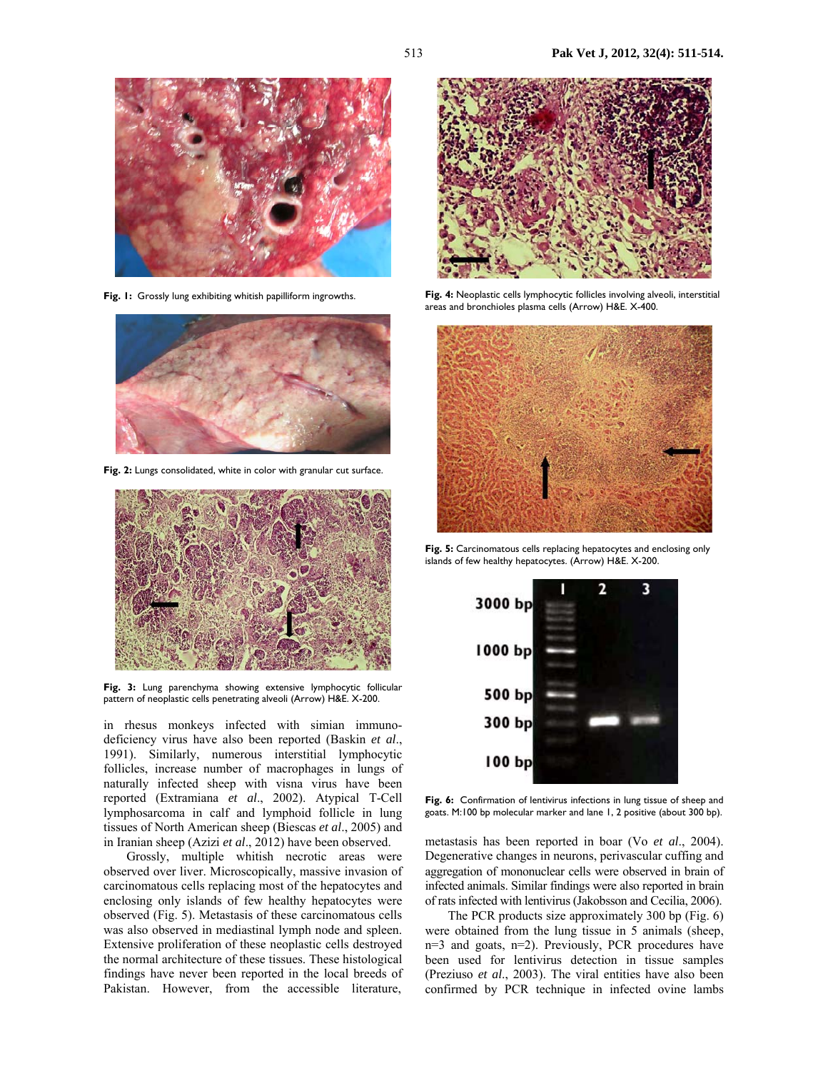

**Fig. 1:** Grossly lung exhibiting whitish papilliform ingrowths.



**Fig. 2:** Lungs consolidated, white in color with granular cut surface.



**Fig. 3:** Lung parenchyma showing extensive lymphocytic follicular pattern of neoplastic cells penetrating alveoli (Arrow) H&E. X-200.

in rhesus monkeys infected with simian immunodeficiency virus have also been reported (Baskin *et al*., 1991). Similarly, numerous interstitial lymphocytic follicles, increase number of macrophages in lungs of naturally infected sheep with visna virus have been reported (Extramiana *et al*., 2002). Atypical T-Cell lymphosarcoma in calf and lymphoid follicle in lung tissues of North American sheep (Biescas *et al*., 2005) and in Iranian sheep (Azizi *et al*., 2012) have been observed.

Grossly, multiple whitish necrotic areas were observed over liver. Microscopically, massive invasion of carcinomatous cells replacing most of the hepatocytes and enclosing only islands of few healthy hepatocytes were observed (Fig. 5). Metastasis of these carcinomatous cells was also observed in mediastinal lymph node and spleen. Extensive proliferation of these neoplastic cells destroyed the normal architecture of these tissues. These histological findings have never been reported in the local breeds of Pakistan. However, from the accessible literature,



**Fig. 4:** Neoplastic cells lymphocytic follicles involving alveoli, interstitial areas and bronchioles plasma cells (Arrow) H&E. X-400.



**Fig. 5:** Carcinomatous cells replacing hepatocytes and enclosing only islands of few healthy hepatocytes. (Arrow) H&E. X-200.



Fig. 6: Confirmation of lentivirus infections in lung tissue of sheep and goats. M:100 bp molecular marker and lane 1, 2 positive (about 300 bp).

metastasis has been reported in boar (Vo *et al*., 2004). Degenerative changes in neurons, perivascular cuffing and aggregation of mononuclear cells were observed in brain of infected animals. Similar findings were also reported in brain of rats infected with lentivirus (Jakobsson and Cecilia, 2006).

 The PCR products size approximately 300 bp (Fig. 6) were obtained from the lung tissue in 5 animals (sheep, n=3 and goats, n=2). Previously, PCR procedures have been used for lentivirus detection in tissue samples (Preziuso *et al*., 2003). The viral entities have also been confirmed by PCR technique in infected ovine lambs